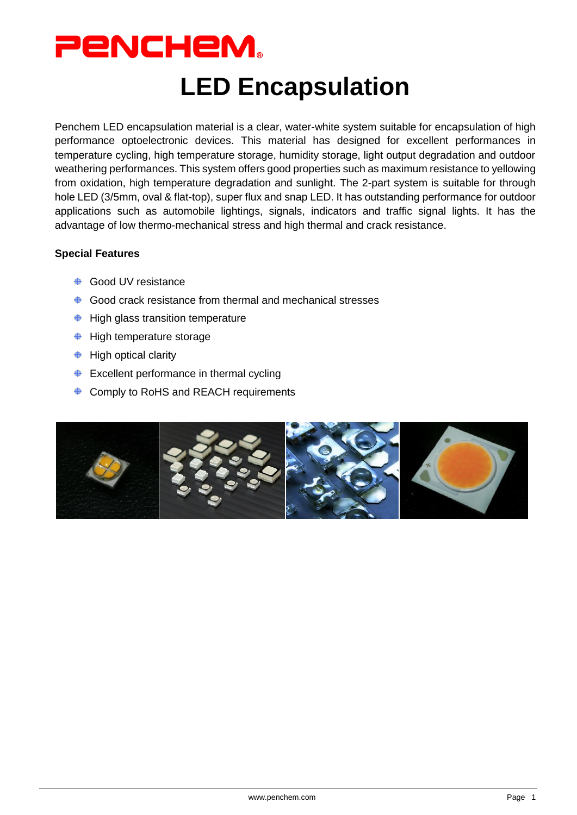

# **LED Encapsulation**

Penchem LED encapsulation material is a clear, water-white system suitable for encapsulation of high performance optoelectronic devices. This material has designed for excellent performances in temperature cycling, high temperature storage, humidity storage, light output degradation and outdoor weathering performances. This system offers good properties such as maximum resistance to yellowing from oxidation, high temperature degradation and sunlight. The 2-part system is suitable for through hole LED (3/5mm, oval & flat-top), super flux and snap LED. It has outstanding performance for outdoor applications such as automobile lightings, signals, indicators and traffic signal lights. It has the advantage of low thermo-mechanical stress and high thermal and crack resistance.

#### **Special Features**

- **♦ Good UV resistance**
- $\bigoplus$ Good crack resistance from thermal and mechanical stresses
- $\bigoplus$  High glass transition temperature
- $\bigoplus$  High temperature storage
- $\bigoplus$  High optical clarity
- $\triangle$  Excellent performance in thermal cycling
- ♦ Comply to RoHS and REACH requirements

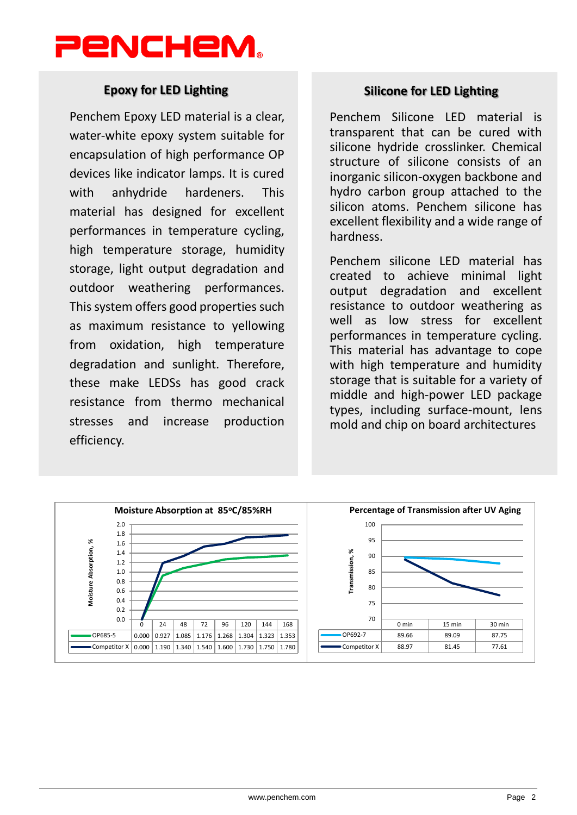

### **Epoxy for LED Lighting**

Penchem Epoxy LED material is a clear, water-white epoxy system suitable for encapsulation of high performance OP devices like indicator lamps. It is cured with anhydride hardeners. This material has designed for excellent performances in temperature cycling, high temperature storage, humidity storage, light output degradation and outdoor weathering performances. This system offers good properties such as maximum resistance to yellowing from oxidation, high temperature degradation and sunlight. Therefore, these make LEDSs has good crack resistance from thermo mechanical stresses and increase production efficiency.

## **Silicone for LED Lighting**

Penchem Silicone LED material is transparent that can be cured with silicone hydride crosslinker. Chemical structure of silicone consists of an inorganic silicon-oxygen backbone and hydro carbon group attached to the silicon atoms. Penchem silicone has excellent flexibility and a wide range of hardness.

Penchem silicone LED material has created to achieve minimal light output degradation and excellent resistance to outdoor weathering as well as low stress for excellent performances in temperature cycling. This material has advantage to cope with high temperature and humidity storage that is suitable for a variety of middle and high-power LED package types, including surface-mount, lens mold and chip on board architectures

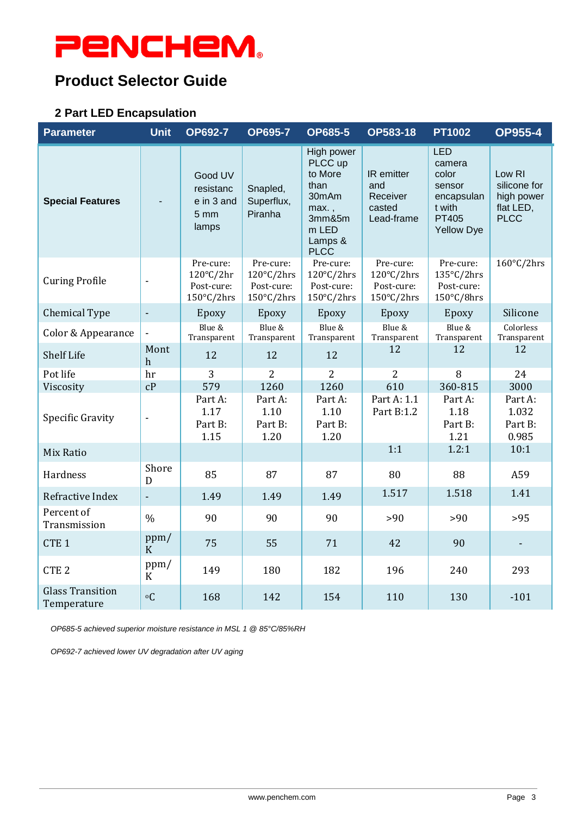# **PENCHEM.**

# **Product Selector Guide**

### **2 Part LED Encapsulation**

| <b>Parameter</b>                       | <b>Unit</b>              | <b>OP692-7</b>                                                         | <b>OP695-7</b>                                      | <b>OP685-5</b>                                                                                          | OP583-18                                                                | <b>PT1002</b>                                                                                        | <b>OP955-4</b>                                                   |
|----------------------------------------|--------------------------|------------------------------------------------------------------------|-----------------------------------------------------|---------------------------------------------------------------------------------------------------------|-------------------------------------------------------------------------|------------------------------------------------------------------------------------------------------|------------------------------------------------------------------|
| <b>Special Features</b>                |                          | Good UV<br>resistanc<br>e in 3 and<br>5 <sub>mm</sub><br>lamps         | Snapled,<br>Superflux,<br>Piranha                   | High power<br>PLCC up<br>to More<br>than<br>30mAm<br>max.,<br>3mm&5m<br>m LED<br>Lamps &<br><b>PLCC</b> | IR emitter<br>and<br>Receiver<br>casted<br>Lead-frame                   | <b>LED</b><br>camera<br>color<br>sensor<br>encapsulan<br>t with<br><b>PT405</b><br><b>Yellow Dye</b> | Low RI<br>silicone for<br>high power<br>flat LED,<br><b>PLCC</b> |
| <b>Curing Profile</b>                  | ÷,                       | Pre-cure:<br>$120^{\circ}$ C/2hr<br>Post-cure:<br>$150^{\circ}$ C/2hrs | Pre-cure:<br>120°C/2hrs<br>Post-cure:<br>150°C/2hrs | Pre-cure:<br>120°C/2hrs<br>Post-cure:<br>150°C/2hrs                                                     | Pre-cure:<br>$120^{\circ}$ C/2hrs<br>Post-cure:<br>$150^{\circ}$ C/2hrs | Pre-cure:<br>135°C/2hrs<br>Post-cure:<br>150°C/8hrs                                                  | $160^{\circ}$ C/2hrs                                             |
| Chemical Type                          | $\Box$                   | Epoxy                                                                  | Epoxy                                               | Epoxy                                                                                                   | Epoxy                                                                   | Epoxy                                                                                                | Silicone                                                         |
| Color & Appearance                     | $\overline{\phantom{a}}$ | Blue &<br>Transparent                                                  | Blue &<br>Transparent                               | Blue &<br>Transparent                                                                                   | Blue &<br>Transparent                                                   | Blue &<br>Transparent                                                                                | Colorless<br>Transparent                                         |
| <b>Shelf Life</b>                      | Mont<br>h                | 12                                                                     | 12                                                  | 12                                                                                                      | 12                                                                      | 12                                                                                                   | 12                                                               |
| Pot life                               | hr                       | 3                                                                      | $\overline{2}$                                      | $\overline{2}$                                                                                          | $\overline{2}$                                                          | 8                                                                                                    | 24                                                               |
| Viscosity                              | cP                       | 579                                                                    | 1260                                                | 1260                                                                                                    | 610                                                                     | 360-815                                                                                              | 3000                                                             |
| Specific Gravity                       | $\overline{\phantom{a}}$ | Part A:<br>1.17<br>Part B:<br>1.15                                     | Part A:<br>1.10<br>Part B:<br>1.20                  | Part A:<br>1.10<br>Part B:<br>1.20                                                                      | Part A: 1.1<br>Part B:1.2                                               | Part A:<br>1.18<br>Part B:<br>1.21                                                                   | Part A:<br>1.032<br>Part B:<br>0.985                             |
| Mix Ratio                              |                          |                                                                        |                                                     |                                                                                                         | 1:1                                                                     | 1.2:1                                                                                                | 10:1                                                             |
| Hardness                               | Shore<br>D               | 85                                                                     | 87                                                  | 87                                                                                                      | 80                                                                      | 88                                                                                                   | A59                                                              |
| Refractive Index                       | ÷.                       | 1.49                                                                   | 1.49                                                | 1.49                                                                                                    | 1.517                                                                   | 1.518                                                                                                | 1.41                                                             |
| Percent of<br>Transmission             | $\frac{0}{0}$            | 90                                                                     | 90                                                  | 90                                                                                                      | >90                                                                     | >90                                                                                                  | $>95$                                                            |
| CTE <sub>1</sub>                       | ppm/<br>$\mathbf K$      | 75                                                                     | 55                                                  | 71                                                                                                      | 42                                                                      | 90                                                                                                   |                                                                  |
| CTE <sub>2</sub>                       | ppm/<br>$\mathbf K$      | 149                                                                    | 180                                                 | 182                                                                                                     | 196                                                                     | 240                                                                                                  | 293                                                              |
| <b>Glass Transition</b><br>Temperature | $\circ$ C                | 168                                                                    | 142                                                 | 154                                                                                                     | 110                                                                     | 130                                                                                                  | $-101$                                                           |

*OP685-5 achieved superior moisture resistance in MSL 1 @ 85°C/85%RH*

*OP692-7 achieved lower UV degradation after UV aging*